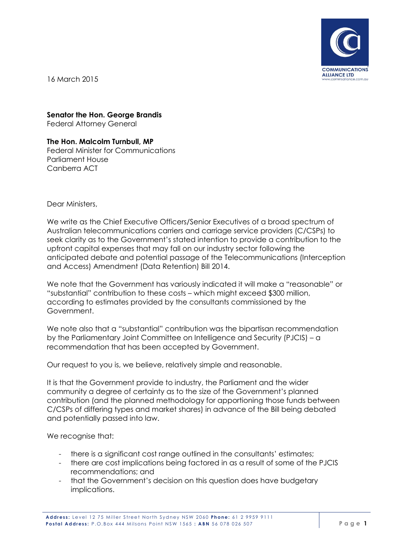

16 March 2015

**Senator the Hon. George Brandis**

Federal Attorney General

**The Hon. Malcolm Turnbull, MP** Federal Minister for Communications Parliament House Canberra ACT

Dear Ministers,

We write as the Chief Executive Officers/Senior Executives of a broad spectrum of Australian telecommunications carriers and carriage service providers (C/CSPs) to seek clarity as to the Government's stated intention to provide a contribution to the upfront capital expenses that may fall on our industry sector following the anticipated debate and potential passage of the Telecommunications (Interception and Access) Amendment (Data Retention) Bill 2014.

We note that the Government has variously indicated it will make a "reasonable" or "substantial" contribution to these costs – which might exceed \$300 million, according to estimates provided by the consultants commissioned by the Government.

We note also that a "substantial" contribution was the bipartisan recommendation by the Parliamentary Joint Committee on Intelligence and Security (PJCIS) – a recommendation that has been accepted by Government.

Our request to you is, we believe, relatively simple and reasonable.

It is that the Government provide to industry, the Parliament and the wider community a degree of certainty as to the size of the Government's planned contribution (and the planned methodology for apportioning those funds between C/CSPs of differing types and market shares) in advance of the Bill being debated and potentially passed into law.

We recognise that:

- there is a significant cost range outlined in the consultants' estimates;
- there are cost implications being factored in as a result of some of the PJCIS recommendations; and
- that the Government's decision on this question does have budgetary implications.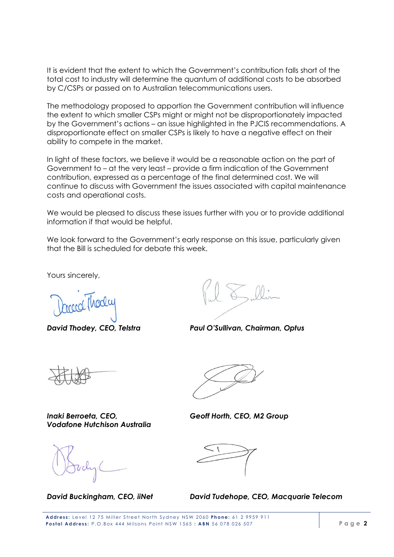It is evident that the extent to which the Government's contribution falls short of the total cost to industry will determine the quantum of additional costs to be absorbed by C/CSPs or passed on to Australian telecommunications users.

The methodology proposed to apportion the Government contribution will influence the extent to which smaller CSPs might or might not be disproportionately impacted by the Government's actions – an issue highlighted in the PJCIS recommendations. A disproportionate effect on smaller CSPs is likely to have a negative effect on their ability to compete in the market.

In light of these factors, we believe it would be a reasonable action on the part of Government to – at the very least – provide a firm indication of the Government contribution, expressed as a percentage of the final determined cost. We will continue to discuss with Government the issues associated with capital maintenance costs and operational costs.

We would be pleased to discuss these issues further with you or to provide additional information if that would be helpful.

We look forward to the Government's early response on this issue, particularly given that the Bill is scheduled for debate this week.

Yours sincerely,

*David Thodey, CEO, Telstra Paul O'Sullivan, Chairman, Optus*

Inaki Berroeta, CEO, **Geoff Horth, CEO, M2 Group** *Vodafone Hutchison Australia*

*David Buckingham, CEO, iiNet David Tudehope, CEO, Macquarie Telecom*